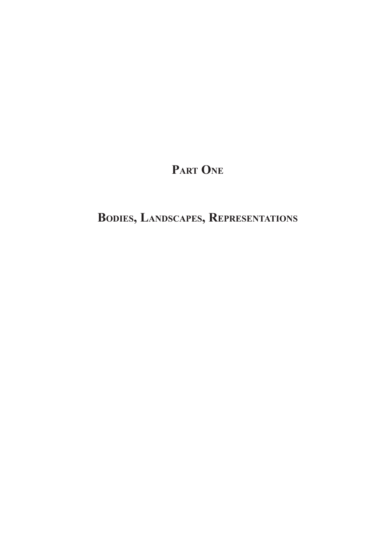**Part One**

**Bodies, Landscapes, Representations**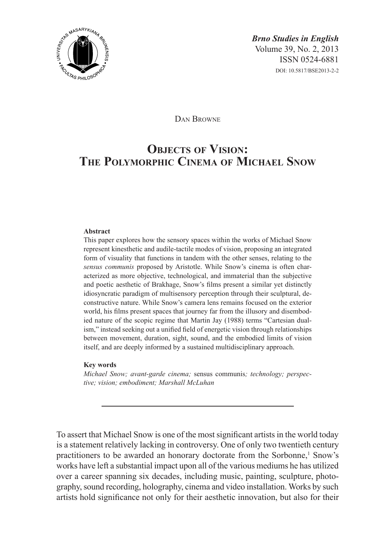

Dan Browne

# **OBJECTS OF VISION: The Polymorphic Cinema of Michael Snow**

#### **Abstract**

This paper explores how the sensory spaces within the works of Michael Snow represent kinesthetic and audile-tactile modes of vision, proposing an integrated form of visuality that functions in tandem with the other senses, relating to the *sensus communis* proposed by Aristotle. While Snow's cinema is often characterized as more objective, technological, and immaterial than the subjective and poetic aesthetic of Brakhage, Snow's films present a similar yet distinctly idiosyncratic paradigm of multisensory perception through their sculptural, deconstructive nature. While Snow's camera lens remains focused on the exterior world, his films present spaces that journey far from the illusory and disembodied nature of the scopic regime that Martin Jay (1988) terms "Cartesian dualism," instead seeking out a unified field of energetic vision through relationships between movement, duration, sight, sound, and the embodied limits of vision itself, and are deeply informed by a sustained multidisciplinary approach.

#### **Key words**

*Michael Snow; avant-garde cinema;* sensus communis*; technology; perspective; vision; embodiment; Marshall McLuhan*

To assert that Michael Snow is one of the most significant artists in the world today is a statement relatively lacking in controversy. One of only two twentieth century practitioners to be awarded an honorary doctorate from the Sorbonne,<sup>1</sup> Snow's works have left a substantial impact upon all of the various mediums he has utilized over a career spanning six decades, including music, painting, sculpture, photography, sound recording, holography, cinema and video installation. Works by such artists hold significance not only for their aesthetic innovation, but also for their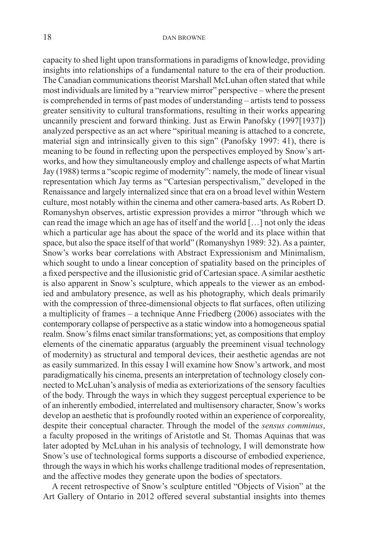capacity to shed light upon transformations in paradigms of knowledge, providing insights into relationships of a fundamental nature to the era of their production. The Canadian communications theorist Marshall McLuhan often stated that while most individuals are limited by a "rearview mirror" perspective – where the present is comprehended in terms of past modes of understanding – artists tend to possess greater sensitivity to cultural transformations, resulting in their works appearing uncannily prescient and forward thinking. Just as Erwin Panofsky (1997[1937]) analyzed perspective as an act where "spiritual meaning is attached to a concrete, material sign and intrinsically given to this sign" (Panofsky 1997: 41), there is meaning to be found in reflecting upon the perspectives employed by Snow's artworks, and how they simultaneously employ and challenge aspects of what Martin Jay (1988) terms a "scopic regime of modernity": namely, the mode of linear visual representation which Jay terms as "Cartesian perspectivalism," developed in the Renaissance and largely internalized since that era on a broad level within Western culture, most notably within the cinema and other camera-based arts. As Robert D. Romanyshyn observes, artistic expression provides a mirror "through which we can read the image which an age has of itself and the world […] not only the ideas which a particular age has about the space of the world and its place within that space, but also the space itself of that world" (Romanyshyn 1989: 32). As a painter, Snow's works bear correlations with Abstract Expressionism and Minimalism, which sought to undo a linear conception of spatiality based on the principles of a fixed perspective and the illusionistic grid of Cartesian space. Asimilar aesthetic is also apparent in Snow's sculpture, which appeals to the viewer as an embodied and ambulatory presence, as well as his photography, which deals primarily with the compression of three-dimensional objects to flat surfaces, often utilizing a multiplicity of frames – a technique Anne Friedberg (2006) associates with the contemporary collapse of perspective as a static window into a homogeneous spatial realm. Snow's films enact similar transformations; yet, as compositions that employ elements of the cinematic apparatus (arguably the preeminent visual technology of modernity) as structural and temporal devices, their aesthetic agendas are not as easily summarized. In this essay  $\overline{I}$  will examine how Snow's artwork, and most paradigmatically his cinema, presents an interpretation of technology closely connected to McLuhan's analysis of media as exteriorizations of the sensory faculties of the body. Through the ways in which they suggest perceptual experience to be of an inherently embodied, interrelated and multisensory character, Snow's works develop an aesthetic that is profoundly rooted within an experience of corporeality, despite their conceptual character. Through the model of the *sensus comminus*, a faculty proposed in the writings of Aristotle and St. Thomas Aquinas that was later adopted by McLuhan in his analysis of technology, I will demonstrate how Snow's use of technological forms supports a discourse of embodied experience, through the ways in which his works challenge traditional modes of representation, and the affective modes they generate upon the bodies of spectators.

A recent retrospective of Snow's sculpture entitled "Objects of Vision" at the Art Gallery of Ontario in 2012 offered several substantial insights into themes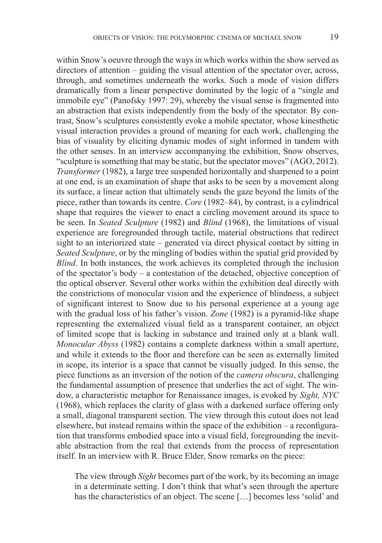within Snow's oeuvre through the ways in which works within the show served as directors of attention – guiding the visual attention of the spectator over, across, through, and sometimes underneath the works. Such a mode of vision differs dramatically from a linear perspective dominated by the logic of a "single and immobile eye" (Panofsky 1997: 29), whereby the visual sense is fragmented into an abstraction that exists independently from the body of the spectator. By contrast, Snow's sculptures consistently evoke a mobile spectator, whose kinesthetic visual interaction provides a ground of meaning for each work, challenging the bias of visuality by eliciting dynamic modes of sight informed in tandem with the other senses. In an interview accompanying the exhibition, Snow observes, "sculpture is something that may be static, but the spectator moves" (AGO, 2012). *Transformer* (1982), a large tree suspended horizontally and sharpened to a point at one end, is an examination of shape that asks to be seen by a movement along its surface, a linear action that ultimately sends the gaze beyond the limits of the piece, rather than towards its centre. *Core* (1982–84), by contrast, is a cylindrical shape that requires the viewer to enact a circling movement around its space to be seen. In *Seated Sculpture* (1982) and *Blind* (1968), the limitations of visual experience are foregrounded through tactile, material obstructions that redirect sight to an interiorized state – generated via direct physical contact by sitting in *Seated Sculpture*, or by the mingling of bodies within the spatial grid provided by *Blind*. In both instances, the work achieves its completed through the inclusion of the spectator's body – a contestation of the detached, objective conception of the optical observer*.* Several other works within the exhibition deal directly with the constrictions of monocular vision and the experience of blindness, a subject of significant interest to Snow due to his personal experience at a young age with the gradual loss of his father's vision. *Zone* (1982) is a pyramid-like shape representing the externalized visual field as a transparent container, an object of limited scope that is lacking in substance and trained only at a blank wall. *Monocular Abyss* (1982) contains a complete darkness within a small aperture, and while it extends to the floor and therefore can be seen as externally limited in scope, its interior is a space that cannot be visually judged. In this sense, the piece functions as an inversion of the notion of the *camera obscura*, challenging the fundamental assumption of presence that underlies the act of sight. The window, a characteristic metaphor for Renaissance images, is evoked by *Sight, NYC* (1968), which replaces the clarity of glass with a darkened surface offering only a small, diagonal transparent section. The view through this cutout does not lead elsewhere, but instead remains within the space of the exhibition – a reconfiguration that transforms embodied space into a visual field, foregrounding the inevitable abstraction from the real that extends from the process of representation itself. In an interview with R. Bruce Elder, Snow remarks on the piece:

The view through *Sight* becomes part of the work, by its becoming an image in a determinate setting. I don't think that what's seen through the aperture has the characteristics of an object. The scene [...] becomes less 'solid' and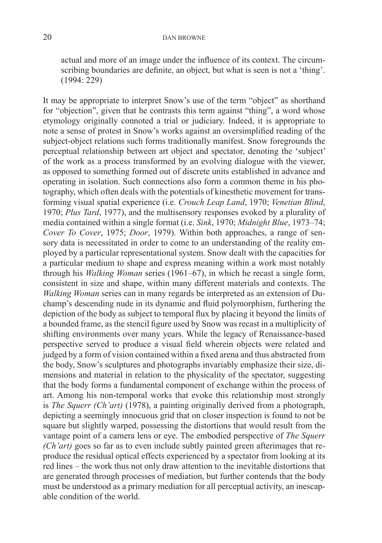actual and more of an image under the influence of its context. The circumscribing boundaries are definite, an object, but what is seen is not a 'thing'. (1994: 229)

It may be appropriate to interpret Snow's use of the term "object" as shorthand for "objection", given that he contrasts this term against "thing", a word whose etymology originally connoted a trial or judiciary. Indeed, it is appropriate to note a sense of protest in Snow's works against an oversimplified reading of the subject-object relations such forms traditionally manifest. Snow foregrounds the perceptual relationship between art object and spectator, denoting the 'subject' of the work as a process transformed by an evolving dialogue with the viewer, as opposed to something formed out of discrete units established in advance and operating in isolation. Such connections also form a common theme in his photography, which often deals with the potentials of kinesthetic movement for transforming visual spatial experience (i.e. *Crouch Leap Land*, 1970; *Venetian Blind*, 1970; *Plus Tard*, 1977), and the multisensory responses evoked by a plurality of media contained within a single format (i.e. *Sink*, 1970; *Midnight Blue*, 1973–74; *Cover To Cover*, 1975; *Door*, 1979). Within both approaches, a range of sensory data is necessitated in order to come to an understanding of the reality employed by a particular representational system. Snow dealt with the capacities for a particular medium to shape and express meaning within a work most notably through his *Walking Woman* series (1961–67), in which he recast a single form, consistent in size and shape, within many different materials and contexts. The *Walking Woman* series can in many regards be interpreted as an extension of Duchamp's descending nude in its dynamic and fluid polymorphism, furthering the depiction of the body as subject to temporal flux by placing it beyond the limits of a bounded frame, as the stencil figure used by Snow was recast in a multiplicity of shifting environments over many years. While the legacy of Renaissance-based perspective served to produce a visual field wherein objects were related and judged by a form of vision contained within a fixed arena and thus abstracted from the body, Snow's sculptures and photographs invariably emphasize their size, dimensions and material in relation to the physicality of the spectator, suggesting that the body forms a fundamental component of exchange within the process of art. Among his non-temporal works that evoke this relationship most strongly is *The Squerr (Ch'art)* (1978), a painting originally derived from a photograph, depicting a seemingly innocuous grid that on closer inspection is found to not be square but slightly warped, possessing the distortions that would result from the vantage point of a camera lens or eye. The embodied perspective of *The Squerr (Ch'art)* goes so far as to even include subtly painted green afterimages that reproduce the residual optical effects experienced by a spectator from looking at its red lines – the work thus not only draw attention to the inevitable distortions that are generated through processes of mediation, but further contends that the body must be understood as a primary mediation for all perceptual activity, an inescapable condition of the world.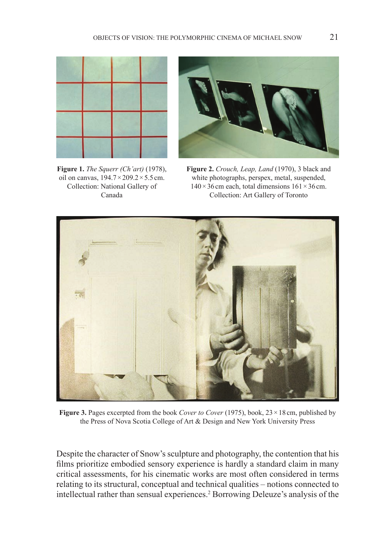

**Figure 1.** *The Squerr (Ch'art)* (1978), oil on canvas,  $194.7 \times 209.2 \times 5.5$  cm. Collection: National Gallery of Canada



**Figure 2.** *Crouch, Leap, Land* (1970), 3 black and white photographs, perspex, metal, suspended,  $140 \times 36$  cm each, total dimensions  $161 \times 36$  cm. Collection: Art Gallery of Toronto



**Figure 3.** Pages excerpted from the book *Cover to Cover* (1975), book, 23×18cm, published by the Press of Nova Scotia College of Art & Design and New York University Press

Despite the character of Snow's sculpture and photography, the contention that his films prioritize embodied sensory experience is hardly a standard claim in many critical assessments, for his cinematic works are most often considered in terms relating to its structural, conceptual and technical qualities – notions connected to intellectual rather than sensual experiences.<sup>2</sup> Borrowing Deleuze's analysis of the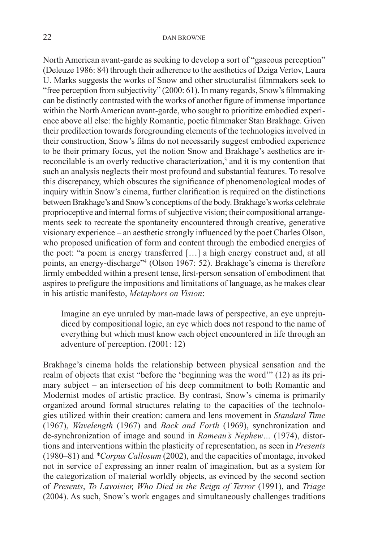North American avant-garde as seeking to develop a sort of "gaseous perception" (Deleuze 1986: 84) through their adherence to the aesthetics of Dziga Vertov, Laura U. Marks suggests the works of Snow and other structuralist filmmakers seek to "free perception from subjectivity" (2000: 61). In many regards, Snow's filmmaking can be distinctly contrasted with the works of another figure of immense importance within the North American avant-garde, who sought to prioritize embodied experience above all else: the highly Romantic, poetic filmmaker Stan Brakhage. Given their predilection towards foregrounding elements of the technologies involved in their construction, Snow's films do not necessarily suggest embodied experience to be their primary focus, yet the notion Snow and Brakhage's aesthetics are irreconcilable is an overly reductive characterization,<sup>3</sup> and it is my contention that such an analysis neglects their most profound and substantial features. To resolve this discrepancy, which obscures the significance of phenomenological modes of inquiry within Snow's cinema, further clarification is required on the distinctions between Brakhage's and Snow's conceptions of the body. Brakhage's works celebrate proprioceptive and internal forms of subjective vision; their compositional arrangements seek to recreate the spontaneity encountered through creative, generative visionary experience – an aesthetic strongly influenced by the poet Charles Olson, who proposed unification of form and content through the embodied energies of the poet: "a poem is energy transferred […] a high energy construct and, at all points, an energy-discharge"4 (Olson 1967: 52). Brakhage's cinema is therefore firmly embedded within a present tense, first-person sensation of embodiment that aspires to prefigure the impositions and limitations of language, as he makes clear in his artistic manifesto, *Metaphors on Vision*:

Imagine an eye unruled by man-made laws of perspective, an eye unprejudiced by compositional logic, an eye which does not respond to the name of everything but which must know each object encountered in life through an adventure of perception. (2001: 12)

Brakhage's cinema holds the relationship between physical sensation and the realm of objects that exist "before the 'beginning was the word'" (12) as its primary subject – an intersection of his deep commitment to both Romantic and Modernist modes of artistic practice. By contrast, Snow's cinema is primarily organized around formal structures relating to the capacities of the technologies utilized within their creation: camera and lens movement in *Standard Time* (1967), *Wavelength* (1967) and *Back and Forth* (1969), synchronization and de-synchronization of image and sound in *Rameau's Nephew…* (1974), distortions and interventions within the plasticity of representation, as seen in *Presents* (1980–81) and *\*Corpus Callosum* (2002), and the capacities of montage, invoked not in service of expressing an inner realm of imagination, but as a system for the categorization of material worldly objects, as evinced by the second section of *Presents*, *To Lavoisier, Who Died in the Reign of Terror* (1991), and *Triage*  (2004). As such, Snow's work engages and simultaneously challenges traditions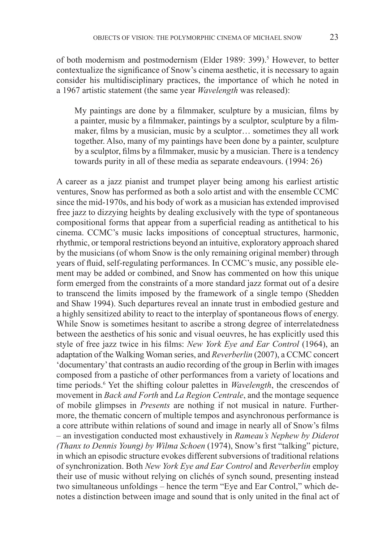of both modernism and postmodernism (Elder 1989: 399).<sup>5</sup> However, to better contextualize the significance of Snow's cinema aesthetic, it is necessary to again consider his multidisciplinary practices, the importance of which he noted in a 1967 artistic statement (the same year *Wavelength* was released):

My paintings are done by a filmmaker, sculpture by a musician, films by a painter, music by a filmmaker, paintings by a sculptor, sculpture by a filmmaker, films by a musician, music by a sculptor… sometimes they all work together. Also, many of my paintings have been done by a painter, sculpture by a sculptor, films by a filmmaker, music by a musician. There is a tendency towards purity in all of these media as separate endeavours. (1994: 26)

A career as a jazz pianist and trumpet player being among his earliest artistic ventures, Snow has performed as both a solo artist and with the ensemble CCMC since the mid-1970s, and his body of work as a musician has extended improvised free jazz to dizzying heights by dealing exclusively with the type of spontaneous compositional forms that appear from a superficial reading as antithetical to his cinema. CCMC's music lacks impositions of conceptual structures, harmonic, rhythmic, or temporal restrictions beyond an intuitive, exploratory approach shared by the musicians (of whom Snow is the only remaining original member) through years of fluid, self-regulating performances. In CCMC's music, any possible element may be added or combined, and Snow has commented on how this unique form emerged from the constraints of a more standard jazz format out of a desire to transcend the limits imposed by the framework of a single tempo (Shedden and Shaw 1994). Such departures reveal an innate trust in embodied gesture and a highly sensitized ability to react to the interplay of spontaneous flows of energy. While Snow is sometimes hesitant to ascribe a strong degree of interrelatedness between the aesthetics of his sonic and visual oeuvres, he has explicitly used this style of free jazz twice in his films: *New York Eye and Ear Control* (1964), an adaptation of the Walking Woman series, and *Reverberlin* (2007), a CCMC concert 'documentary' that contrasts an audio recording of the group in Berlin with images composed from a pastiche of other performances from a variety of locations and time periods.<sup>6</sup> Yet the shifting colour palettes in *Wavelength*, the crescendos of movement in *Back and Forth* and *La Region Centrale*, and the montage sequence of mobile glimpses in *Presents* are nothing if not musical in nature. Furthermore, the thematic concern of multiple tempos and asynchronous performance is a core attribute within relations of sound and image in nearly all of Snow's films – an investigation conducted most exhaustively in *Rameau's Nephew by Diderot (Thanx to Dennis Young) by Wilma Schoen* (1974), Snow's first "talking" picture, in which an episodic structure evokes different subversions of traditional relations of synchronization. Both *New York Eye and Ear Control* and *Reverberlin* employ their use of music without relying on clichés of synch sound, presenting instead two simultaneous unfoldings – hence the term "Eye and Ear Control," which denotes a distinction between image and sound that is only united in the final act of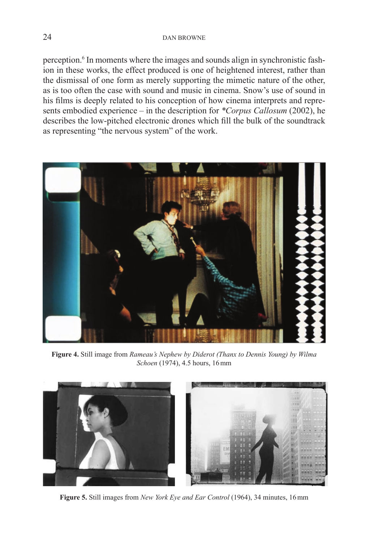perception.<sup>6</sup> In moments where the images and sounds align in synchronistic fashion in these works, the effect produced is one of heightened interest, rather than the dismissal of one form as merely supporting the mimetic nature of the other, as is too often the case with sound and music in cinema. Snow's use of sound in his films is deeply related to his conception of how cinema interprets and represents embodied experience – in the description for *\*Corpus Callosum* (2002), he describes the low-pitched electronic drones which fill the bulk of the soundtrack as representing "the nervous system" of the work.



**Figure 4.** Still image from *Rameau's Nephew by Diderot (Thanx to Dennis Young) by Wilma Schoen* (1974), 4.5 hours, 16mm



**Figure 5.** Still images from *New York Eye and Ear Control* (1964), 34 minutes, 16mm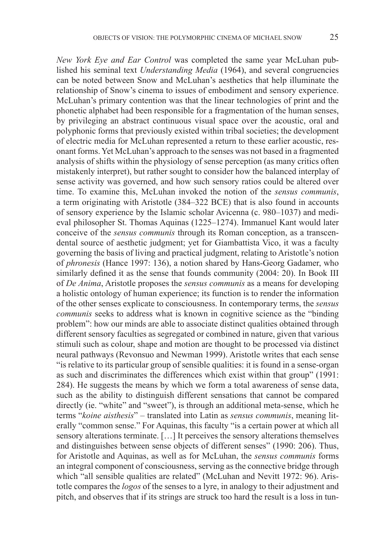*New York Eye and Ear Control* was completed the same year McLuhan published his seminal text *Understanding Media* (1964), and several congruencies can be noted between Snow and McLuhan's aesthetics that help illuminate the relationship of Snow's cinema to issues of embodiment and sensory experience. McLuhan's primary contention was that the linear technologies of print and the phonetic alphabet had been responsible for a fragmentation of the human senses, by privileging an abstract continuous visual space over the acoustic, oral and polyphonic forms that previously existed within tribal societies; the development of electric media for McLuhan represented a return to these earlier acoustic, resonant forms. Yet McLuhan's approach to the senses was not based in a fragmented analysis of shifts within the physiology of sense perception (as many critics often mistakenly interpret), but rather sought to consider how the balanced interplay of sense activity was governed, and how such sensory ratios could be altered over time. To examine this, McLuhan invoked the notion of the *sensus communis*, a term originating with Aristotle (384–322 BCE) that is also found in accounts of sensory experience by the Islamic scholar Avicenna (c. 980–1037) and medieval philosopher St. Thomas Aquinas (1225–1274). Immanuel Kant would later conceive of the *sensus communis* through its Roman conception, as a transcendental source of aesthetic judgment; yet for Giambattista Vico, it was a faculty governing the basis of living and practical judgment, relating to Aristotle's notion of *phronesis* (Hance 1997: 136), a notion shared by Hans-Georg Gadamer, who similarly defined it as the sense that founds community (2004: 20). In Book III of *De Anima*, Aristotle proposes the *sensus communis* as a means for developing a holistic ontology of human experience; its function is to render the information of the other senses explicate to consciousness. In contemporary terms, the *sensus communis* seeks to address what is known in cognitive science as the "binding problem": how our minds are able to associate distinct qualities obtained through different sensory faculties as segregated or combined in nature, given that various stimuli such as colour, shape and motion are thought to be processed via distinct neural pathways (Revonsuo and Newman 1999). Aristotle writes that each sense "is relative to its particular group of sensible qualities: it is found in a sense-organ as such and discriminates the differences which exist within that group" (1991: 284). He suggests the means by which we form a total awareness of sense data, such as the ability to distinguish different sensations that cannot be compared directly (ie. "white" and "sweet"), is through an additional meta-sense, which he terms "*koine aisthesis*" – translated into Latin as *sensus communis*, meaning literally "common sense." For Aquinas, this faculty "is a certain power at which all sensory alterations terminate. […] It perceives the sensory alterations themselves and distinguishes between sense objects of different senses" (1990: 206). Thus, for Aristotle and Aquinas, as well as for McLuhan, the *sensus communis* forms an integral component of consciousness, serving as the connective bridge through which "all sensible qualities are related" (McLuhan and Nevitt 1972: 96). Aristotle compares the *logos* of the senses to a lyre, in analogy to their adjustment and pitch, and observes that if its strings are struck too hard the result is a loss in tun-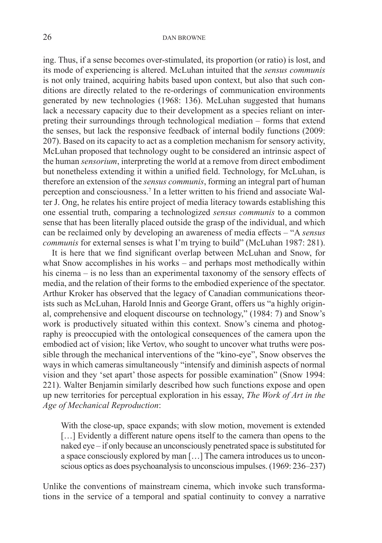ing. Thus, if a sense becomes over-stimulated, its proportion (or ratio) is lost, and its mode of experiencing is altered. McLuhan intuited that the *sensus communis*  is not only trained, acquiring habits based upon context, but also that such conditions are directly related to the re-orderings of communication environments generated by new technologies (1968: 136). McLuhan suggested that humans lack a necessary capacity due to their development as a species reliant on interpreting their surroundings through technological mediation – forms that extend the senses, but lack the responsive feedback of internal bodily functions (2009: 207). Based on its capacity to act as a completion mechanism for sensory activity, McLuhan proposed that technology ought to be considered an intrinsic aspect of the human *sensorium*, interpreting the world at a remove from direct embodiment but nonetheless extending it within a unified field. Technology, for McLuhan, is therefore an extension of the *sensus communis*, forming an integral part of human perception and consciousness.7 In a letter written to his friend and associate Walter J. Ong, he relates his entire project of media literacy towards establishing this one essential truth, comparing a technologized *sensus communis* to a common sense that has been literally placed outside the grasp of the individual, and which can be reclaimed only by developing an awareness of media effects – "A *sensus communis* for external senses is what I'm trying to build" (McLuhan 1987: 281).

It is here that we find significant overlap between McLuhan and Snow, for what Snow accomplishes in his works – and perhaps most methodically within his cinema – is no less than an experimental taxonomy of the sensory effects of media, and the relation of their forms to the embodied experience of the spectator. Arthur Kroker has observed that the legacy of Canadian communications theorists such as McLuhan, Harold Innis and George Grant, offers us "a highly original, comprehensive and eloquent discourse on technology," (1984: 7) and Snow's work is productively situated within this context. Snow's cinema and photography is preoccupied with the ontological consequences of the camera upon the embodied act of vision; like Vertov, who sought to uncover what truths were possible through the mechanical interventions of the "kino-eye", Snow observes the ways in which cameras simultaneously "intensify and diminish aspects of normal vision and they 'set apart' those aspects for possible examination" (Snow 1994: 221). Walter Benjamin similarly described how such functions expose and open up new territories for perceptual exploration in his essay, *The Work of Art in the Age of Mechanical Reproduction*:

With the close-up, space expands; with slow motion, movement is extended [...] Evidently a different nature opens itself to the camera than opens to the naked eye – if only because an unconsciously penetrated space is substituted for a space consciously explored by man […] The camera introduces us to unconscious optics as does psychoanalysis to unconscious impulses. (1969: 236–237)

Unlike the conventions of mainstream cinema, which invoke such transformations in the service of a temporal and spatial continuity to convey a narrative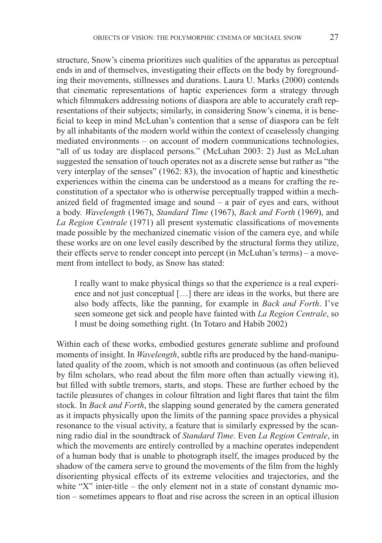structure, Snow's cinema prioritizes such qualities of the apparatus as perceptual ends in and of themselves, investigating their effects on the body by foregrounding their movements, stillnesses and durations. Laura U. Marks (2000) contends that cinematic representations of haptic experiences form a strategy through which filmmakers addressing notions of diaspora are able to accurately craft representations of their subjects; similarly, in considering Snow's cinema, it is beneficial to keep in mind McLuhan's contention that a sense of diaspora can be felt by all inhabitants of the modern world within the context of ceaselessly changing mediated environments – on account of modern communications technologies, "all of us today are displaced persons." (McLuhan 2003: 2) Just as McLuhan suggested the sensation of touch operates not as a discrete sense but rather as "the very interplay of the senses" (1962: 83), the invocation of haptic and kinesthetic experiences within the cinema can be understood as a means for crafting the reconstitution of a spectator who is otherwise perceptually trapped within a mechanized field of fragmented image and sound – a pair of eyes and ears, without a body. *Wavelength* (1967), *Standard Time* (1967), *Back and Forth* (1969), and *La Region Centrale* (1971) all present systematic classifications of movements made possible by the mechanized cinematic vision of the camera eye, and while these works are on one level easily described by the structural forms they utilize, their effects serve to render concept into percept (in McLuhan's terms) – a movement from intellect to body, as Snow has stated:

I really want to make physical things so that the experience is a real experience and not just conceptual […] there are ideas in the works, but there are also body affects, like the panning, for example in *Back and Forth*. I've seen someone get sick and people have fainted with *La Region Centrale*, so I must be doing something right. (In Totaro and Habib 2002)

Within each of these works, embodied gestures generate sublime and profound moments of insight. In *Wavelength*, subtle rifts are produced by the hand-manipulated quality of the zoom, which is not smooth and continuous (as often believed by film scholars, who read about the film more often than actually viewing it), but filled with subtle tremors, starts, and stops. These are further echoed by the tactile pleasures of changes in colour filtration and light flares that taint the film stock. In *Back and Forth*, the slapping sound generated by the camera generated as it impacts physically upon the limits of the panning space provides a physical resonance to the visual activity, a feature that is similarly expressed by the scanning radio dial in the soundtrack of *Standard Time*. Even *La Region Centrale*, in which the movements are entirely controlled by a machine operates independent of a human body that is unable to photograph itself, the images produced by the shadow of the camera serve to ground the movements of the film from the highly disorienting physical effects of its extreme velocities and trajectories, and the white "X" inter-title – the only element not in a state of constant dynamic motion – sometimes appears to float and rise across the screen in an optical illusion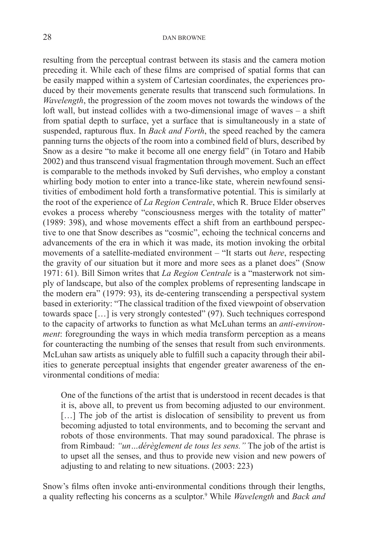resulting from the perceptual contrast between its stasis and the camera motion preceding it. While each of these films are comprised of spatial forms that can be easily mapped within a system of Cartesian coordinates, the experiences produced by their movements generate results that transcend such formulations. In *Wavelength*, the progression of the zoom moves not towards the windows of the loft wall, but instead collides with a two-dimensional image of waves – a shift from spatial depth to surface, yet a surface that is simultaneously in a state of suspended, rapturous flux. In *Back and Forth*, the speed reached by the camera panning turns the objects of the room into a combined field of blurs, described by Snow as a desire "to make it become all one energy field" (in Totaro and Habib 2002) and thus transcend visual fragmentation through movement. Such an effect is comparable to the methods invoked by Sufi dervishes, who employ a constant whirling body motion to enter into a trance-like state, wherein newfound sensitivities of embodiment hold forth a transformative potential. This is similarly at the root of the experience of *La Region Centrale*, which R. Bruce Elder observes evokes a process whereby "consciousness merges with the totality of matter" (1989: 398), and whose movements effect a shift from an earthbound perspective to one that Snow describes as "cosmic", echoing the technical concerns and advancements of the era in which it was made, its motion invoking the orbital movements of a satellite-mediated environment – "It starts out *here*, respecting the gravity of our situation but it more and more sees as a planet does" (Snow 1971: 61). Bill Simon writes that *La Region Centrale* is a "masterwork not simply of landscape, but also of the complex problems of representing landscape in the modern era" (1979: 93), its de-centering transcending a perspectival system based in exteriority: "The classical tradition of the fixed viewpoint of observation towards space […] is very strongly contested" (97). Such techniques correspond to the capacity of artworks to function as what McLuhan terms an *anti-environment*: foregrounding the ways in which media transform perception as a means for counteracting the numbing of the senses that result from such environments. McLuhan saw artists as uniquely able to fulfill such a capacity through their abilities to generate perceptual insights that engender greater awareness of the environmental conditions of media:

One of the functions of the artist that is understood in recent decades is that it is, above all, to prevent us from becoming adjusted to our environment. [...] The job of the artist is dislocation of sensibility to prevent us from becoming adjusted to total environments, and to becoming the servant and robots of those environments. That may sound paradoxical. The phrase is from Rimbaud: *"un…dérèglement de tous les sens."* The job of the artist is to upset all the senses, and thus to provide new vision and new powers of adjusting to and relating to new situations. (2003: 223)

Snow's films often invoke anti-environmental conditions through their lengths, a quality reflecting his concerns as a sculptor.<sup>9</sup> While *Wavelength* and *Back and*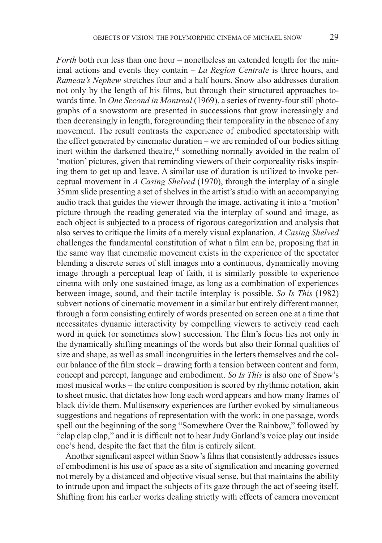*Forth* both run less than one hour – nonetheless an extended length for the minimal actions and events they contain – *La Region Centrale* is three hours, and *Rameau's Nephew* stretches four and a half hours. Snow also addresses duration not only by the length of his films, but through their structured approaches towards time. In *One Second in Montreal* (1969), a series of twenty-four still photographs of a snowstorm are presented in successions that grow increasingly and then decreasingly in length, foregrounding their temporality in the absence of any movement. The result contrasts the experience of embodied spectatorship with the effect generated by cinematic duration – we are reminded of our bodies sitting inert within the darkened theatre,<sup>10</sup> something normally avoided in the realm of 'motion' pictures, given that reminding viewers of their corporeality risks inspiring them to get up and leave. A similar use of duration is utilized to invoke perceptual movement in *A Casing Shelved* (1970), through the interplay of a single 35mm slide presenting a set of shelves in the artist's studio with an accompanying audio track that guides the viewer through the image, activating it into a 'motion' picture through the reading generated via the interplay of sound and image, as each object is subjected to a process of rigorous categorization and analysis that also serves to critique the limits of a merely visual explanation. *A Casing Shelved* challenges the fundamental constitution of what a film can be, proposing that in the same way that cinematic movement exists in the experience of the spectator blending a discrete series of still images into a continuous, dynamically moving image through a perceptual leap of faith, it is similarly possible to experience cinema with only one sustained image, as long as a combination of experiences between image, sound, and their tactile interplay is possible. *So Is This* (1982) subvert notions of cinematic movement in a similar but entirely different manner, through a form consisting entirely of words presented on screen one at a time that necessitates dynamic interactivity by compelling viewers to actively read each word in quick (or sometimes slow) succession. The film's focus lies not only in the dynamically shifting meanings of the words but also their formal qualities of size and shape, as well as small incongruities in the letters themselves and the colour balance of the film stock – drawing forth a tension between content and form, concept and percept, language and embodiment. *So Is This* is also one of Snow's most musical works – the entire composition is scored by rhythmic notation, akin to sheet music, that dictates how long each word appears and how many frames of black divide them. Multisensory experiences are further evoked by simultaneous suggestions and negations of representation with the work: in one passage, words spell out the beginning of the song "Somewhere Over the Rainbow," followed by "clap clap clap," and it is difficult not to hear Judy Garland's voice play out inside one's head, despite the fact that the film is entirely silent.

Another significant aspect within Snow's films that consistently addresses issues of embodiment is his use of space as a site of signification and meaning governed not merely by a distanced and objective visual sense, but that maintains the ability to intrude upon and impact the subjects of its gaze through the act of seeing itself. Shifting from his earlier works dealing strictly with effects of camera movement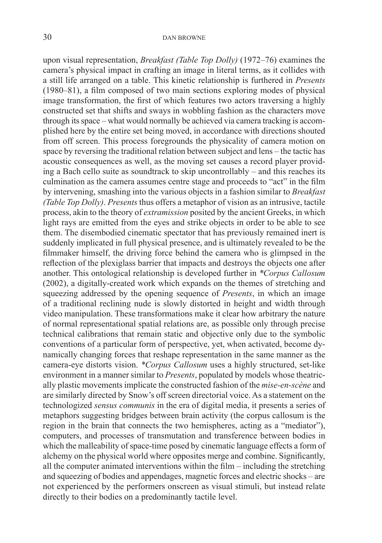upon visual representation, *Breakfast (Table Top Dolly)* (1972–76) examines the camera's physical impact in crafting an image in literal terms, as it collides with a still life arranged on a table. This kinetic relationship is furthered in *Presents* (1980–81), a film composed of two main sections exploring modes of physical image transformation, the first of which features two actors traversing a highly constructed set that shifts and sways in wobbling fashion as the characters move through its space – what would normally be achieved via camera tracking is accomplished here by the entire set being moved, in accordance with directions shouted from off screen. This process foregrounds the physicality of camera motion on space by reversing the traditional relation between subject and lens – the tactic has acoustic consequences as well, as the moving set causes a record player providing a Bach cello suite as soundtrack to skip uncontrollably – and this reaches its culmination as the camera assumes centre stage and proceeds to "act" in the film by intervening, smashing into the various objects in a fashion similar to *Breakfast (Table Top Dolly)*. *Presents* thus offers a metaphor of vision as an intrusive, tactile process, akin to the theory of *extramission* posited by the ancient Greeks, in which light rays are emitted from the eyes and strike objects in order to be able to see them. The disembodied cinematic spectator that has previously remained inert is suddenly implicated in full physical presence, and is ultimately revealed to be the filmmaker himself, the driving force behind the camera who is glimpsed in the reflection of the plexiglass barrier that impacts and destroys the objects one after another. This ontological relationship is developed further in *\*Corpus Callosum* (2002), a digitally-created work which expands on the themes of stretching and squeezing addressed by the opening sequence of *Presents*, in which an image of a traditional reclining nude is slowly distorted in height and width through video manipulation. These transformations make it clear how arbitrary the nature of normal representational spatial relations are, as possible only through precise technical calibrations that remain static and objective only due to the symbolic conventions of a particular form of perspective, yet, when activated, become dynamically changing forces that reshape representation in the same manner as the camera-eye distorts vision. *\*Corpus Callosum* uses a highly structured, set-like environment in a manner similar to *Presents*, populated by models whose theatrically plastic movements implicate the constructed fashion of the *mise-en-scène* and are similarly directed by Snow's off screen directorial voice. As a statement on the technologized *sensus communis* in the era of digital media, it presents a series of metaphors suggesting bridges between brain activity (the corpus callosum is the region in the brain that connects the two hemispheres, acting as a "mediator"), computers, and processes of transmutation and transference between bodies in which the malleability of space-time posed by cinematic language effects a form of alchemy on the physical world where opposites merge and combine. Significantly, all the computer animated interventions within the film – including the stretching and squeezing of bodies and appendages, magnetic forces and electric shocks – are not experienced by the performers onscreen as visual stimuli, but instead relate directly to their bodies on a predominantly tactile level.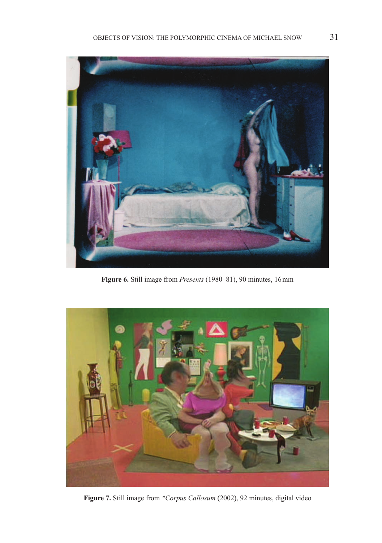

**Figure 6.** Still image from *Presents* (1980–81), 90 minutes, 16mm



**Figure 7.** Still image from *\*Corpus Callosum* (2002), 92 minutes, digital video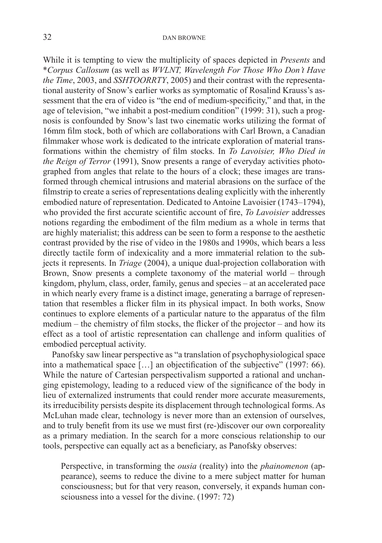While it is tempting to view the multiplicity of spaces depicted in *Presents* and \**Corpus Callosum* (as well as *WVLNT, Wavelength For Those Who Don't Have the Time*, 2003, and *SSHTOORRTY*, 2005) and their contrast with the representational austerity of Snow's earlier works as symptomatic of Rosalind Krauss's assessment that the era of video is "the end of medium-specificity," and that, in the age of television, "we inhabit a post-medium condition" (1999: 31), such a prognosis is confounded by Snow's last two cinematic works utilizing the format of 16mm film stock, both of which are collaborations with Carl Brown, a Canadian filmmaker whose work is dedicated to the intricate exploration of material transformations within the chemistry of film stocks. In *To Lavoisier, Who Died in the Reign of Terror* (1991), Snow presents a range of everyday activities photographed from angles that relate to the hours of a clock; these images are transformed through chemical intrusions and material abrasions on the surface of the filmstrip to create a series of representations dealing explicitly with the inherently embodied nature of representation. Dedicated to Antoine Lavoisier (1743–1794), who provided the first accurate scientific account of fire, *To Lavoisier* addresses notions regarding the embodiment of the film medium as a whole in terms that are highly materialist; this address can be seen to form a response to the aesthetic contrast provided by the rise of video in the 1980s and 1990s, which bears a less directly tactile form of indexicality and a more immaterial relation to the subjects it represents. In *Triage* (2004), a unique dual-projection collaboration with Brown, Snow presents a complete taxonomy of the material world – through kingdom, phylum, class, order, family, genus and species – at an accelerated pace in which nearly every frame is a distinct image, generating a barrage of representation that resembles a flicker film in its physical impact. In both works, Snow continues to explore elements of a particular nature to the apparatus of the film medium – the chemistry of film stocks, the flicker of the projector – and how its effect as a tool of artistic representation can challenge and inform qualities of embodied perceptual activity.

Panofsky saw linear perspective as "a translation of psychophysiological space into a mathematical space […] an objectification of the subjective" (1997: 66). While the nature of Cartesian perspectivalism supported a rational and unchanging epistemology, leading to a reduced view of the significance of the body in lieu of externalized instruments that could render more accurate measurements, its irreducibility persists despite its displacement through technological forms. As McLuhan made clear, technology is never more than an extension of ourselves, and to truly benefit from its use we must first (re-)discover our own corporeality as a primary mediation. In the search for a more conscious relationship to our tools, perspective can equally act as a beneficiary, as Panofsky observes:

Perspective, in transforming the *ousia* (reality) into the *phainomenon* (appearance), seems to reduce the divine to a mere subject matter for human consciousness; but for that very reason, conversely, it expands human consciousness into a vessel for the divine. (1997: 72)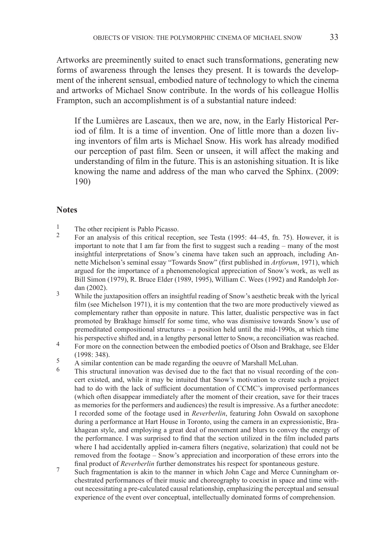Artworks are preeminently suited to enact such transformations, generating new forms of awareness through the lenses they present. It is towards the development of the inherent sensual, embodied nature of technology to which the cinema and artworks of Michael Snow contribute. In the words of his colleague Hollis Frampton, such an accomplishment is of a substantial nature indeed:

If the Lumières are Lascaux, then we are, now, in the Early Historical Period of film. It is a time of invention. One of little more than a dozen living inventors of film arts is Michael Snow. His work has already modified our perception of past film. Seen or unseen, it will affect the making and understanding of film in the future. This is an astonishing situation. It is like knowing the name and address of the man who carved the Sphinx. (2009: 190)

# **Notes**

- $\frac{1}{2}$  The other recipient is Pablo Picasso.
- 2 For an analysis of this critical reception, see Testa (1995: 44–45, fn. 75). However, it is important to note that I am far from the first to suggest such a reading – many of the most insightful interpretations of Snow's cinema have taken such an approach, including Annette Michelson's seminal essay "Towards Snow" (first published in *Artforum*, 1971), which argued for the importance of a phenomenological appreciation of Snow's work, as well as Bill Simon (1979), R. Bruce Elder (1989, 1995), William C. Wees (1992) and Randolph Jordan (2002).
- <sup>3</sup> While the juxtaposition offers an insightful reading of Snow's aesthetic break with the lyrical film (see Michelson 1971), it is my contention that the two are more productively viewed as complementary rather than opposite in nature. This latter, dualistic perspective was in fact promoted by Brakhage himself for some time, who was dismissive towards Snow's use of premeditated compositional structures – a position held until the mid-1990s, at which time his perspective shifted and, in a lengthy personal letter to Snow, a reconciliation was reached.
- <sup>4</sup> For more on the connection between the embodied poetics of Olson and Brakhage, see Elder (1998: 348).
- <sup>5</sup><br>A similar contention can be made regarding the oeuvre of Marshall McLuhan.<br>This structural innovation was dovined due to the feet that no visual recordination
- This structural innovation was devised due to the fact that no visual recording of the concert existed, and, while it may be intuited that Snow's motivation to create such a project had to do with the lack of sufficient documentation of CCMC's improvised performances (which often disappear immediately after the moment of their creation, save for their traces as memories for the performers and audiences) the result is impressive. As a further anecdote: I recorded some of the footage used in *Reverberlin*, featuring John Oswald on saxophone during a performance at Hart House in Toronto, using the camera in an expressionistic, Brakhagean style, and employing a great deal of movement and blurs to convey the energy of the performance. I was surprised to find that the section utilized in the film included parts where I had accidentally applied in-camera filters (negative, solarization) that could not be removed from the footage – Snow's appreciation and incorporation of these errors into the final product of *Reverberlin* further demonstrates his respect for spontaneous gesture.
- <sup>7</sup> Such fragmentation is akin to the manner in which John Cage and Merce Cunningham orchestrated performances of their music and choreography to coexist in space and time without necessitating a pre-calculated causal relationship, emphasizing the perceptual and sensual experience of the event over conceptual, intellectually dominated forms of comprehension.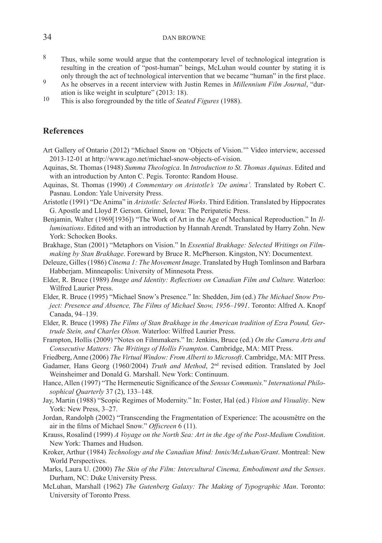### 34 DAN BROWNE

- 8 Thus, while some would argue that the contemporary level of technological integration is resulting in the creation of "post-human" beings, McLuhan would counter by stating it is only through the act of technological intervention that we became "human" in the first place.
- 9 As he observes in a recent interview with Justin Remes in *Millennium Film Journal*, "duration is like weight in sculpture" (2013: 18).
- 10 This is also foregrounded by the title of *Seated Figures* (1988).

## **References**

- Art Gallery of Ontario (2012) "Michael Snow on 'Objects of Vision.'" Video interview, accessed 2013-12-01 at http://www.ago.net/michael-snow-objects-of-vision.
- Aquinas, St. Thomas (1948) *Summa Theologica*. In *Introduction to St. Thomas Aquinas*. Edited and with an introduction by Anton C. Pegis. Toronto: Random House.
- Aquinas, St. Thomas (1990) *A Commentary on Aristotle's 'De anima'.* Translated by Robert C. Pasnau. London: Yale University Press.
- Aristotle (1991) "De Anima" in *Aristotle: Selected Works*. Third Edition. Translated by Hippocrates G. Apostle and Lloyd P. Gerson. Grinnel, Iowa: The Peripatetic Press.
- Benjamin, Walter (1969[1936]) "The Work of Art in the Age of Mechanical Reproduction." In *Illuminations*. Edited and with an introduction by Hannah Arendt. Translated by Harry Zohn. New York: Schocken Books.
- Brakhage, Stan (2001) "Metaphors on Vision." In *Essential Brakhage: Selected Writings on Filmmaking by Stan Brakhage*. Foreward by Bruce R. McPherson. Kingston, NY: Documentext.
- Deleuze, Gilles (1986) *Cinema 1: The Movement Image*. Translated by Hugh Tomlinson and Barbara Habberjam. Minneapolis: University of Minnesota Press.
- Elder, R. Bruce (1989) *Image and Identity: Reflections on Canadian Film and Culture.* Waterloo: Wilfred Laurier Press.
- Elder, R. Bruce (1995) "Michael Snow's Presence." In: Shedden, Jim (ed.) *The Michael Snow Project: Presence and Absence, The Films of Michael Snow, 1956–1991*. Toronto: Alfred A. Knopf Canada, 94–139.
- Elder, R. Bruce (1998) *The Films of Stan Brakhage in the American tradition of Ezra Pound, Gertrude Stein, and Charles Olson.* Waterloo: Wilfred Laurier Press.
- Frampton, Hollis (2009) "Notes on Filmmakers." In: Jenkins, Bruce (ed.) *On the Camera Arts and Consecutive Matters: The Writings of Hollis Frampton*. Cambridge, MA: MIT Press.
- Friedberg, Anne (2006) *The Virtual Window: From Alberti to Microsoft*. Cambridge, MA: MIT Press. Gadamer, Hans Georg (1960/2004) *Truth and Method*, 2nd revised edition. Translated by Joel

Weinsheimer and Donald G. Marshall. New York: Continuum.

- Hance, Allen (1997) "The Hermeneutic Significance of the *Sensus Communis.*" *International Philosophical Quarterly* 37 (2), 133–148.
- Jay, Martin (1988) "Scopic Regimes of Modernity." In: Foster, Hal (ed.) *Vision and Visuality*. New York: New Press, 3–27.
- Jordan, Randolph (2002) "Transcending the Fragmentation of Experience: The acousmêtre on the air in the films of Michael Snow." *Offscreen* 6 (11).
- Krauss, Rosalind (1999) *A Voyage on the North Sea: Art in the Age of the Post-Medium Condition*. New York: Thames and Hudson.
- Kroker, Arthur (1984) *Technology and the Canadian Mind: Innis/McLuhan/Grant*. Montreal: New World Perspectives.
- Marks, Laura U. (2000) *The Skin of the Film: Intercultural Cinema, Embodiment and the Senses*. Durham, NC: Duke University Press.
- McLuhan, Marshall (1962) *The Gutenberg Galaxy: The Making of Typographic Man*. Toronto: University of Toronto Press.